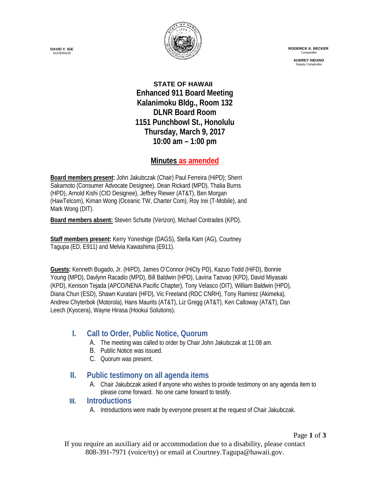

 **RODERICK K. BECKER** Comptroller

> **AUDREY HIDANO** Deputy Comptrol

**STATE OF HAWAII Enhanced 911 Board Meeting Kalanimoku Bldg., Room 132 DLNR Board Room 1151 Punchbowl St., Honolulu Thursday, March 9, 2017 10:00 am – 1:00 pm**

### **Minutes as amended**

**Board members present:** John Jakubczak (Chair) Paul Ferreira (HiPD); Sherri Sakamoto (Consumer Advocate Designee), Dean Rickard (MPD), Thalia Burns (HPD), Arnold Kishi (CIO Designee), Jeffrey Riewer (AT&T), Ben Morgan (HawTelcom), Kiman Wong (Oceanic TW, Charter Com), Roy Irei (T-Mobile), and Mark Wong (DIT).

**Board members absent:** Steven Schutte (Verizon), Michael Contrades (KPD).

**Staff members present:** Kerry Yoneshige (DAGS), Stella Kam (AG), Courtney Tagupa (ED, E911) and Melvia Kawashima (E911).

**Guests:** Kenneth Bugado, Jr. (HiPD), James O'Connor (HiCty PD), Kazuo Todd (HiFD), Bonnie Young (MPD), Davlynn Racadio (MPD), Bill Baldwin (HPD), Lavina Taovao (KPD), David Miyasaki (KPD), Kenison Tejada (APCO/NENA Pacific Chapter), Tony Velasco (DIT), William Baldwin (HPD), Diana Chun (ESD), Shawn Kuratani (HFD), Vic Freeland (RDC CNRH), Tony Ramirez (Akimeka), Andrew Chyterbok (Motorola), Hans Maurits (AT&T), Liz Gregg (AT&T), Ken Calloway (AT&T), Dan Leech (Kyocera), Wayne Hirasa (Hookui Solutions).

## **I. Call to Order, Public Notice, Quorum**

- A. The meeting was called to order by Chair John Jakubczak at 11:08 am.
- B. Public Notice was issued.
- C. Quorum was present.

#### **II. Public testimony on all agenda items**

A. Chair Jakubczak asked if anyone who wishes to provide testimony on any agenda item to please come forward. No one came forward to testify.

#### **III. Introductions**

A. Introductions were made by everyone present at the request of Chair Jakubczak.

Page **1** of **3** If you require an auxiliary aid or accommodation due to a disability, please contact 808-391-7971 (voice/tty) or email at Courtney.Tagupa@hawaii.gov.

**DAVID Y. IGE** GOVERNOR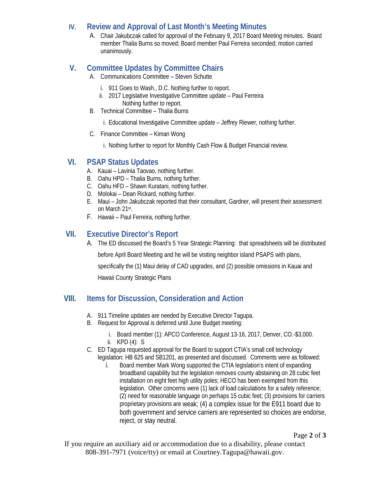### **IV. Review and Approval of Last Month's Meeting Minutes**

A. Chair Jakubczak called for approval of the February 9, 2017 Board Meeting minutes. Board member Thalia Burns so moved; Board member Paul Ferreira seconded; motion carried unanimously.

# **V. Committee Updates by Committee Chairs**

- A. Communications Committee Steven Schutte
	- i. 911 Goes to Wash., D.C. Nothing further to report.
	- ii. 2017 Legislative Investigative Committee update Paul Ferreira Nothing further to report.
- B. Technical Committee Thalia Burns
	- i. Educational Investigative Committee update Jeffrey Riewer, nothing further.
- C. Finance Committee Kiman Wong
	- i. Nothing further to report for Monthly Cash Flow & Budget Financial review.

## **VI. PSAP Status Updates**

- A. Kauai Lavinia Taovao, nothing further.
- B. Oahu HPD Thalia Burns, nothing further.
- C. Oahu HFD Shawn Kuratani, nothing further.
- D. Molokai Dean Rickard, nothing further.
- E. Maui John Jakubczak reported that their consultant, Gardner, will present their assessment on March 21st.
- F. Hawaii Paul Ferreira, nothing further.

## **VII. Executive Director's Report**

A. The ED discussed the Board's 5 Year Strategic Planning: that spreadsheets will be distributed

before April Board Meeting and he will be visiting neighbor island PSAPS with plans,

specifically the (1) Maui delay of CAD upgrades, and (2) possible omissions in Kauai and

Hawaii County Strategic Plans

## **VIII. Items for Discussion, Consideration and Action**

- A. 911 Timeline updates are needed by Executive Director Tagupa.
- B. Request for Approval is deferred until June Budget meeting:
	- i. Board member (1): APCO Conference, August 13-16, 2017, Denver, CO.-\$3,000.
	- ii. KPD (4): S
- C. ED Tagupa requested approval for the Board to support CTIA's small cell technology legislation: HB 625 and SB1201, as presented and discussed. Comments were as followed:
	- i. Board member Mark Wong supported the CTIA legislation's intent of expanding broadband capability but the legislation removes county abstaining on 28 cubic feet installation on eight feet high utility poles; HECO has been exempted from this legislation. Other concerns were (1) lack of load calculations for a safety reference; (2) need for reasonable language on perhaps 15 cubic feet; (3) provisions for carriers proprietary provisions are weak; (4) a complex issue for the E911 board due to both government and service carriers are represented so choices are endorse, reject, or stay neutral.

Page **2** of **3**

If you require an auxiliary aid or accommodation due to a disability, please contact 808-391-7971 (voice/tty) or email at Courtney.Tagupa@hawaii.gov.